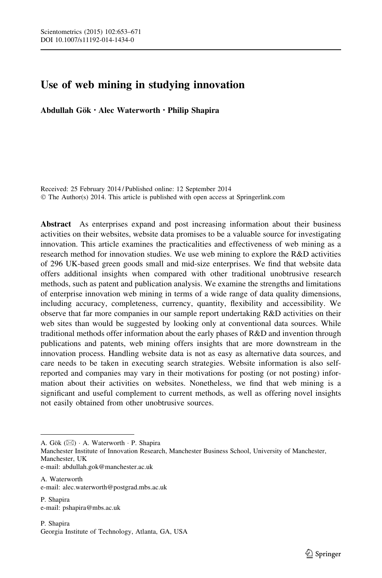# Use of web mining in studying innovation

Abdullah Gök · Alec Waterworth · Philip Shapira

Received: 25 February 2014 / Published online: 12 September 2014 © The Author(s) 2014. This article is published with open access at Springerlink.com

Abstract As enterprises expand and post increasing information about their business activities on their websites, website data promises to be a valuable source for investigating innovation. This article examines the practicalities and effectiveness of web mining as a research method for innovation studies. We use web mining to explore the R&D activities of 296 UK-based green goods small and mid-size enterprises. We find that website data offers additional insights when compared with other traditional unobtrusive research methods, such as patent and publication analysis. We examine the strengths and limitations of enterprise innovation web mining in terms of a wide range of data quality dimensions, including accuracy, completeness, currency, quantity, flexibility and accessibility. We observe that far more companies in our sample report undertaking R&D activities on their web sites than would be suggested by looking only at conventional data sources. While traditional methods offer information about the early phases of R&D and invention through publications and patents, web mining offers insights that are more downstream in the innovation process. Handling website data is not as easy as alternative data sources, and care needs to be taken in executing search strategies. Website information is also selfreported and companies may vary in their motivations for posting (or not posting) information about their activities on websites. Nonetheless, we find that web mining is a significant and useful complement to current methods, as well as offering novel insights not easily obtained from other unobtrusive sources.

A. Waterworth e-mail: alec.waterworth@postgrad.mbs.ac.uk

P. Shapira e-mail: pshapira@mbs.ac.uk

P. Shapira Georgia Institute of Technology, Atlanta, GA, USA

A. Gök (⊠) · A. Waterworth · P. Shapira

Manchester Institute of Innovation Research, Manchester Business School, University of Manchester, Manchester, UK e-mail: abdullah.gok@manchester.ac.uk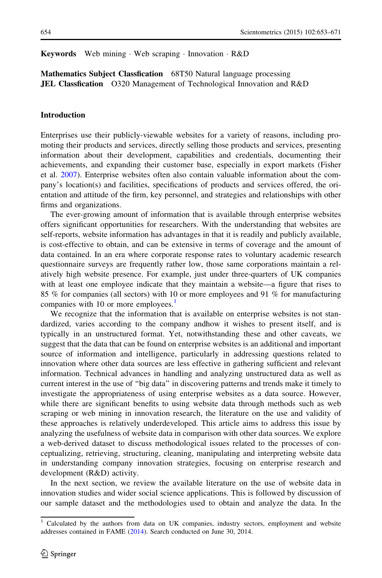# Keywords Web mining - Web scraping - Innovation - R&D

# Mathematics Subject Classfication 68T50 Natural language processing JEL Classfication O320 Management of Technological Innovation and R&D

## Introduction

Enterprises use their publicly-viewable websites for a variety of reasons, including promoting their products and services, directly selling those products and services, presenting information about their development, capabilities and credentials, documenting their achievements, and expanding their customer base, especially in export markets (Fisher et al. [2007\)](#page-17-0). Enterprise websites often also contain valuable information about the company's location(s) and facilities, specifications of products and services offered, the orientation and attitude of the firm, key personnel, and strategies and relationships with other firms and organizations.

The ever-growing amount of information that is available through enterprise websites offers significant opportunities for researchers. With the understanding that websites are self-reports, website information has advantages in that it is readily and publicly available, is cost-effective to obtain, and can be extensive in terms of coverage and the amount of data contained. In an era where corporate response rates to voluntary academic research questionnaire surveys are frequently rather low, those same corporations maintain a relatively high website presence. For example, just under three-quarters of UK companies with at least one employee indicate that they maintain a website—a figure that rises to 85 % for companies (all sectors) with 10 or more employees and 91 % for manufacturing companies with 10 or more employees.<sup>1</sup>

We recognize that the information that is available on enterprise websites is not standardized, varies according to the company andhow it wishes to present itself, and is typically in an unstructured format. Yet, notwithstanding these and other caveats, we suggest that the data that can be found on enterprise websites is an additional and important source of information and intelligence, particularly in addressing questions related to innovation where other data sources are less effective in gathering sufficient and relevant information. Technical advances in handling and analyzing unstructured data as well as current interest in the use of ''big data'' in discovering patterns and trends make it timely to investigate the appropriateness of using enterprise websites as a data source. However, while there are significant benefits to using website data through methods such as web scraping or web mining in innovation research, the literature on the use and validity of these approaches is relatively underdeveloped. This article aims to address this issue by analyzing the usefulness of website data in comparison with other data sources. We explore a web-derived dataset to discuss methodological issues related to the processes of conceptualizing, retrieving, structuring, cleaning, manipulating and interpreting website data in understanding company innovation strategies, focusing on enterprise research and development (R&D) activity.

In the next section, we review the available literature on the use of website data in innovation studies and wider social science applications. This is followed by discussion of our sample dataset and the methodologies used to obtain and analyze the data. In the

<sup>1</sup> Calculated by the authors from data on UK companies, industry sectors, employment and website addresses contained in FAME ([2014\)](#page-17-0). Search conducted on June 30, 2014.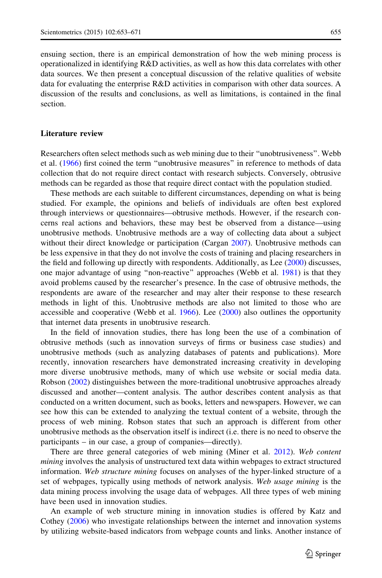ensuing section, there is an empirical demonstration of how the web mining process is operationalized in identifying R&D activities, as well as how this data correlates with other data sources. We then present a conceptual discussion of the relative qualities of website data for evaluating the enterprise R&D activities in comparison with other data sources. A discussion of the results and conclusions, as well as limitations, is contained in the final section.

#### Literature review

Researchers often select methods such as web mining due to their ''unobtrusiveness''. Webb et al. ([1966\)](#page-18-0) first coined the term ''unobtrusive measures'' in reference to methods of data collection that do not require direct contact with research subjects. Conversely, obtrusive methods can be regarded as those that require direct contact with the population studied.

These methods are each suitable to different circumstances, depending on what is being studied. For example, the opinions and beliefs of individuals are often best explored through interviews or questionnaires—obtrusive methods. However, if the research concerns real actions and behaviors, these may best be observed from a distance—using unobtrusive methods. Unobtrusive methods are a way of collecting data about a subject without their direct knowledge or participation (Cargan [2007](#page-17-0)). Unobtrusive methods can be less expensive in that they do not involve the costs of training and placing researchers in the field and following up directly with respondents. Additionally, as Lee ([2000\)](#page-17-0) discusses, one major advantage of using "non-reactive" approaches (Webb et al. [1981\)](#page-18-0) is that they avoid problems caused by the researcher's presence. In the case of obtrusive methods, the respondents are aware of the researcher and may alter their response to these research methods in light of this. Unobtrusive methods are also not limited to those who are accessible and cooperative (Webb et al.  $1966$ ). Lee  $(2000)$  $(2000)$  also outlines the opportunity that internet data presents in unobtrusive research.

In the field of innovation studies, there has long been the use of a combination of obtrusive methods (such as innovation surveys of firms or business case studies) and unobtrusive methods (such as analyzing databases of patents and publications). More recently, innovation researchers have demonstrated increasing creativity in developing more diverse unobtrusive methods, many of which use website or social media data. Robson ([2002](#page-17-0)) distinguishes between the more-traditional unobtrusive approaches already discussed and another—content analysis. The author describes content analysis as that conducted on a written document, such as books, letters and newspapers. However, we can see how this can be extended to analyzing the textual content of a website, through the process of web mining. Robson states that such an approach is different from other unobtrusive methods as the observation itself is indirect (i.e. there is no need to observe the participants – in our case, a group of companies—directly).

There are three general categories of web mining (Miner et al. [2012](#page-17-0)). Web content *mining* involves the analysis of unstructured text data within webpages to extract structured information. Web structure mining focuses on analyses of the hyper-linked structure of a set of webpages, typically using methods of network analysis. Web usage mining is the data mining process involving the usage data of webpages. All three types of web mining have been used in innovation studies.

An example of web structure mining in innovation studies is offered by Katz and Cothey [\(2006](#page-17-0)) who investigate relationships between the internet and innovation systems by utilizing website-based indicators from webpage counts and links. Another instance of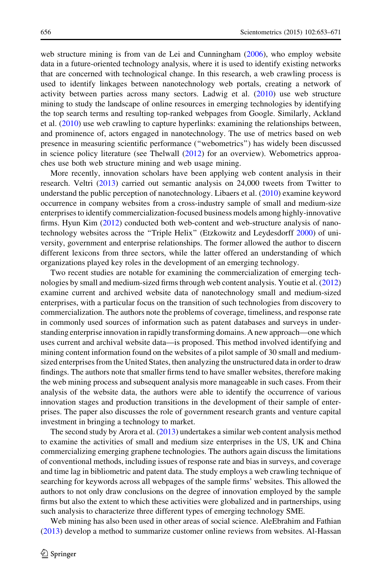web structure mining is from van de Lei and Cunningham ([2006\)](#page-18-0), who employ website data in a future-oriented technology analysis, where it is used to identify existing networks that are concerned with technological change. In this research, a web crawling process is used to identify linkages between nanotechnology web portals, creating a network of activity between parties across many sectors. Ladwig et al. [\(2010](#page-17-0)) use web structure mining to study the landscape of online resources in emerging technologies by identifying the top search terms and resulting top-ranked webpages from Google. Similarly, Ackland et al. [\(2010](#page-17-0)) use web crawling to capture hyperlinks: examining the relationships between, and prominence of, actors engaged in nanotechnology. The use of metrics based on web presence in measuring scientific performance (''webometrics'') has widely been discussed in science policy literature (see Thelwall [\(2012\)](#page-18-0) for an overview). Webometrics approaches use both web structure mining and web usage mining.

More recently, innovation scholars have been applying web content analysis in their research. Veltri [\(2013](#page-18-0)) carried out semantic analysis on 24,000 tweets from Twitter to understand the public perception of nanotechnology. Libaers et al. [\(2010\)](#page-17-0) examine keyword occurrence in company websites from a cross-industry sample of small and medium-size enterprises to identify commercialization-focused business models among highly-innovative firms. Hyun Kim [\(2012](#page-17-0)) conducted both web-content and web-structure analysis of nano-technology websites across the "Triple Helix" (Etzkowitz and Leydesdorff [2000](#page-17-0)) of university, government and enterprise relationships. The former allowed the author to discern different lexicons from three sectors, while the latter offered an understanding of which organizations played key roles in the development of an emerging technology.

Two recent studies are notable for examining the commercialization of emerging technologies by small and medium-sized firms through web content analysis. Youtie et al. ([2012](#page-18-0)) examine current and archived website data of nanotechnology small and medium-sized enterprises, with a particular focus on the transition of such technologies from discovery to commercialization. The authors note the problems of coverage, timeliness, and response rate in commonly used sources of information such as patent databases and surveys in understanding enterprise innovation in rapidly transforming domains. A new approach—one which uses current and archival website data—is proposed. This method involved identifying and mining content information found on the websites of a pilot sample of 30 small and mediumsized enterprises from the United States, then analyzing the unstructured data in order to draw findings. The authors note that smaller firms tend to have smaller websites, therefore making the web mining process and subsequent analysis more manageable in such cases. From their analysis of the website data, the authors were able to identify the occurrence of various innovation stages and production transitions in the development of their sample of enterprises. The paper also discusses the role of government research grants and venture capital investment in bringing a technology to market.

The second study by Arora et al. [\(2013](#page-17-0)) undertakes a similar web content analysis method to examine the activities of small and medium size enterprises in the US, UK and China commercializing emerging graphene technologies. The authors again discuss the limitations of conventional methods, including issues of response rate and bias in surveys, and coverage and time lag in bibliometric and patent data. The study employs a web crawling technique of searching for keywords across all webpages of the sample firms' websites. This allowed the authors to not only draw conclusions on the degree of innovation employed by the sample firms but also the extent to which these activities were globalized and in partnerships, using such analysis to characterize three different types of emerging technology SME.

Web mining has also been used in other areas of social science. AleEbrahim and Fathian ([2013\)](#page-17-0) develop a method to summarize customer online reviews from websites. Al-Hassan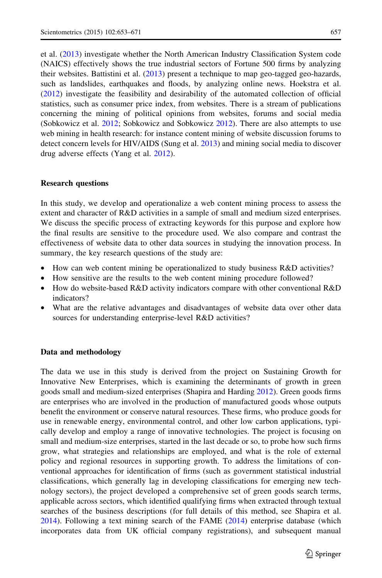et al. [\(2013\)](#page-17-0) investigate whether the North American Industry Classification System code (NAICS) effectively shows the true industrial sectors of Fortune 500 firms by analyzing their websites. Battistini et al. ([2013\)](#page-17-0) present a technique to map geo-tagged geo-hazards, such as landslides, earthquakes and floods, by analyzing online news. Hoekstra et al. ([2012\)](#page-17-0) investigate the feasibility and desirability of the automated collection of official statistics, such as consumer price index, from websites. There is a stream of publications concerning the mining of political opinions from websites, forums and social media (Sobkowicz et al. [2012](#page-18-0); Sobkowicz and Sobkowicz [2012\)](#page-18-0). There are also attempts to use web mining in health research: for instance content mining of website discussion forums to detect concern levels for HIV/AIDS (Sung et al. [2013](#page-18-0)) and mining social media to discover drug adverse effects (Yang et al. [2012](#page-18-0)).

### Research questions

In this study, we develop and operationalize a web content mining process to assess the extent and character of R&D activities in a sample of small and medium sized enterprises. We discuss the specific process of extracting keywords for this purpose and explore how the final results are sensitive to the procedure used. We also compare and contrast the effectiveness of website data to other data sources in studying the innovation process. In summary, the key research questions of the study are:

- How can web content mining be operationalized to study business R&D activities?
- How sensitive are the results to the web content mining procedure followed?
- How do website-based R&D activity indicators compare with other conventional R&D indicators?
- What are the relative advantages and disadvantages of website data over other data sources for understanding enterprise-level R&D activities?

#### Data and methodology

The data we use in this study is derived from the project on Sustaining Growth for Innovative New Enterprises, which is examining the determinants of growth in green goods small and medium-sized enterprises (Shapira and Harding [2012](#page-17-0)). Green goods firms are enterprises who are involved in the production of manufactured goods whose outputs benefit the environment or conserve natural resources. These firms, who produce goods for use in renewable energy, environmental control, and other low carbon applications, typically develop and employ a range of innovative technologies. The project is focusing on small and medium-size enterprises, started in the last decade or so, to probe how such firms grow, what strategies and relationships are employed, and what is the role of external policy and regional resources in supporting growth. To address the limitations of conventional approaches for identification of firms (such as government statistical industrial classifications, which generally lag in developing classifications for emerging new technology sectors), the project developed a comprehensive set of green goods search terms, applicable across sectors, which identified qualifying firms when extracted through textual searches of the business descriptions (for full details of this method, see Shapira et al. [2014\)](#page-17-0). Following a text mining search of the FAME ([2014\)](#page-17-0) enterprise database (which incorporates data from UK official company registrations), and subsequent manual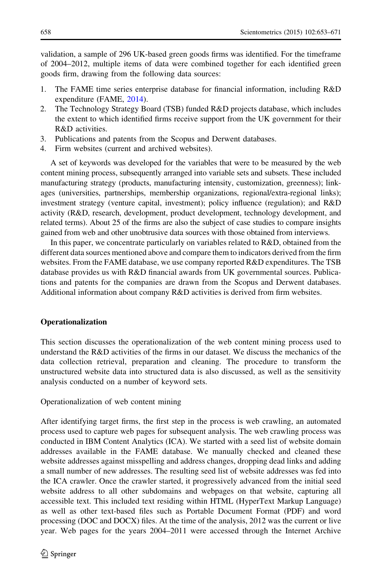validation, a sample of 296 UK-based green goods firms was identified. For the timeframe of 2004–2012, multiple items of data were combined together for each identified green goods firm, drawing from the following data sources:

- 1. The FAME time series enterprise database for financial information, including R&D expenditure (FAME, [2014](#page-17-0)).
- 2. The Technology Strategy Board (TSB) funded R&D projects database, which includes the extent to which identified firms receive support from the UK government for their R&D activities.
- 3. Publications and patents from the Scopus and Derwent databases.
- 4. Firm websites (current and archived websites).

A set of keywords was developed for the variables that were to be measured by the web content mining process, subsequently arranged into variable sets and subsets. These included manufacturing strategy (products, manufacturing intensity, customization, greenness); linkages (universities, partnerships, membership organizations, regional/extra-regional links); investment strategy (venture capital, investment); policy influence (regulation); and R&D activity (R&D, research, development, product development, technology development, and related terms). About 25 of the firms are also the subject of case studies to compare insights gained from web and other unobtrusive data sources with those obtained from interviews.

In this paper, we concentrate particularly on variables related to R&D, obtained from the different data sources mentioned above and compare them to indicators derived from the firm websites. From the FAME database, we use company reported R&D expenditures. The TSB database provides us with R&D financial awards from UK governmental sources. Publications and patents for the companies are drawn from the Scopus and Derwent databases. Additional information about company R&D activities is derived from firm websites.

### Operationalization

This section discusses the operationalization of the web content mining process used to understand the R&D activities of the firms in our dataset. We discuss the mechanics of the data collection retrieval, preparation and cleaning. The procedure to transform the unstructured website data into structured data is also discussed, as well as the sensitivity analysis conducted on a number of keyword sets.

Operationalization of web content mining

After identifying target firms, the first step in the process is web crawling, an automated process used to capture web pages for subsequent analysis. The web crawling process was conducted in IBM Content Analytics (ICA). We started with a seed list of website domain addresses available in the FAME database. We manually checked and cleaned these website addresses against misspelling and address changes, dropping dead links and adding a small number of new addresses. The resulting seed list of website addresses was fed into the ICA crawler. Once the crawler started, it progressively advanced from the initial seed website address to all other subdomains and webpages on that website, capturing all accessible text. This included text residing within HTML (HyperText Markup Language) as well as other text-based files such as Portable Document Format (PDF) and word processing (DOC and DOCX) files. At the time of the analysis, 2012 was the current or live year. Web pages for the years 2004–2011 were accessed through the Internet Archive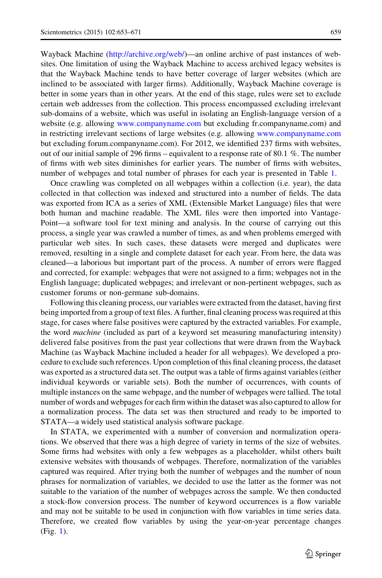Wayback Machine [\(http://archive.org/web/](http://archive.org/web/))—an online archive of past instances of websites. One limitation of using the Wayback Machine to access archived legacy websites is that the Wayback Machine tends to have better coverage of larger websites (which are inclined to be associated with larger firms). Additionally, Wayback Machine coverage is better in some years than in other years. At the end of this stage, rules were set to exclude certain web addresses from the collection. This process encompassed excluding irrelevant sub-domains of a website, which was useful in isolating an English-language version of a website (e.g. allowing [www.companyname.com](http://www.companyname.com) but excluding fr.companyname.com) and in restricting irrelevant sections of large websites (e.g. allowing [www.companyname.com](http://www.companyname.com) but excluding forum.companyname.com). For 2012, we identified 237 firms with websites, out of our initial sample of 296 firms – equivalent to a response rate of 80.1 %. The number of firms with web sites diminishes for earlier years. The number of firms with websites, number of webpages and total number of phrases for each year is presented in Table [1](#page-7-0).

Once crawling was completed on all webpages within a collection (i.e. year), the data collected in that collection was indexed and structured into a number of fields. The data was exported from ICA as a series of XML (Extensible Market Language) files that were both human and machine readable. The XML files were then imported into Vantage-Point—a software tool for text mining and analysis. In the course of carrying out this process, a single year was crawled a number of times, as and when problems emerged with particular web sites. In such cases, these datasets were merged and duplicates were removed, resulting in a single and complete dataset for each year. From here, the data was cleaned—a laborious but important part of the process. A number of errors were flagged and corrected, for example: webpages that were not assigned to a firm; webpages not in the English language; duplicated webpages; and irrelevant or non-pertinent webpages, such as customer forums or non-germane sub-domains.

Following this cleaning process, our variables were extracted from the dataset, having first being imported from a group of text files. A further, final cleaning process was required at this stage, for cases where false positives were captured by the extracted variables. For example, the word *machine* (included as part of a keyword set measuring manufacturing intensity) delivered false positives from the past year collections that were drawn from the Wayback Machine (as Wayback Machine included a header for all webpages). We developed a procedure to exclude such references. Upon completion of this final cleaning process, the dataset was exported as a structured data set. The output was a table of firms against variables (either individual keywords or variable sets). Both the number of occurrences, with counts of multiple instances on the same webpage, and the number of webpages were tallied. The total number of words and webpages for each firm within the dataset was also captured to allow for a normalization process. The data set was then structured and ready to be imported to STATA—a widely used statistical analysis software package.

In STATA, we experimented with a number of conversion and normalization operations. We observed that there was a high degree of variety in terms of the size of websites. Some firms had websites with only a few webpages as a placeholder, whilst others built extensive websites with thousands of webpages. Therefore, normalization of the variables captured was required. After trying both the number of webpages and the number of noun phrases for normalization of variables, we decided to use the latter as the former was not suitable to the variation of the number of webpages across the sample. We then conducted a stock-flow conversion process. The number of keyword occurrences is a flow variable and may not be suitable to be used in conjunction with flow variables in time series data. Therefore, we created flow variables by using the year-on-year percentage changes (Fig. [1\)](#page-7-0).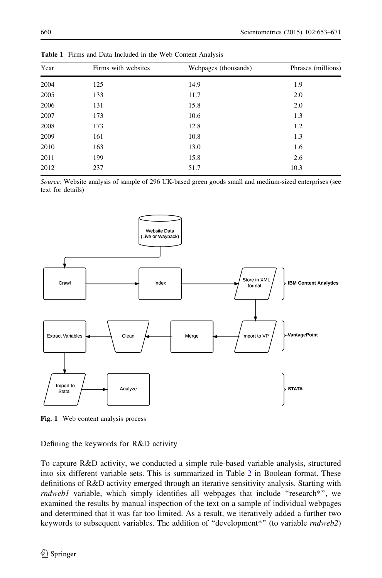| Year | Firms with websites | Webpages (thousands) | Phrases (millions) |
|------|---------------------|----------------------|--------------------|
| 2004 | 125                 | 14.9                 | 1.9                |
| 2005 | 133                 | 11.7                 | 2.0                |
| 2006 | 131                 | 15.8                 | 2.0                |
| 2007 | 173                 | 10.6                 | 1.3                |
| 2008 | 173                 | 12.8                 | 1.2                |
| 2009 | 161                 | 10.8                 | 1.3                |
| 2010 | 163                 | 13.0                 | 1.6                |
| 2011 | 199                 | 15.8                 | 2.6                |
| 2012 | 237                 | 51.7                 | 10.3               |
|      |                     |                      |                    |

<span id="page-7-0"></span>Table 1 Firms and Data Included in the Web Content Analysis

Source: Website analysis of sample of 296 UK-based green goods small and medium-sized enterprises (see text for details)



Fig. 1 Web content analysis process

Defining the keywords for R&D activity

To capture R&D activity, we conducted a simple rule-based variable analysis, structured into six different variable sets. This is summarized in Table [2](#page-8-0) in Boolean format. These definitions of R&D activity emerged through an iterative sensitivity analysis. Starting with rndweb1 variable, which simply identifies all webpages that include "research\*", we examined the results by manual inspection of the text on a sample of individual webpages and determined that it was far too limited. As a result, we iteratively added a further two keywords to subsequent variables. The addition of "development\*" (to variable  $\mathit{mdweb2})$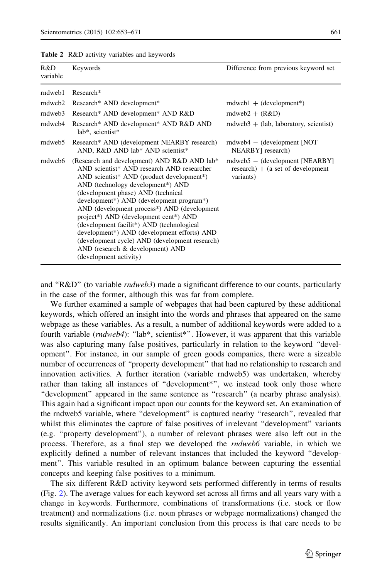| R&D<br>variable | Keywords                                                                                                                                                                                                                                                                                                                                                                                                                                                                                                                                                          | Difference from previous keyword set                                                  |
|-----------------|-------------------------------------------------------------------------------------------------------------------------------------------------------------------------------------------------------------------------------------------------------------------------------------------------------------------------------------------------------------------------------------------------------------------------------------------------------------------------------------------------------------------------------------------------------------------|---------------------------------------------------------------------------------------|
| rndweb1         | Research*                                                                                                                                                                                                                                                                                                                                                                                                                                                                                                                                                         |                                                                                       |
| mdweb2          | Research* AND development*                                                                                                                                                                                                                                                                                                                                                                                                                                                                                                                                        | $\text{mdweb1} + (\text{development*})$                                               |
| rndweb3         | Research* AND development* AND R&D                                                                                                                                                                                                                                                                                                                                                                                                                                                                                                                                | $\text{mdweb2} + (\text{R&D})$                                                        |
| rndweb4         | Research* AND development* AND R&D AND<br>lab*. scientist*                                                                                                                                                                                                                                                                                                                                                                                                                                                                                                        | $rndweb3 + (lab, laboratory, scientist)$                                              |
| rndweb5         | Research* AND (development NEARBY research)<br>AND, R&D AND lab* AND scientist*                                                                                                                                                                                                                                                                                                                                                                                                                                                                                   | $rndweb4 - (development [NOT]$<br>NEARBY] research)                                   |
| rndweb6         | (Research and development) AND R&D AND lab*<br>AND scientist* AND research AND researcher<br>AND scientist* AND (product development*)<br>AND (technology development*) AND<br>(development phase) AND (technical<br>development*) AND (development program*)<br>AND (development process*) AND (development<br>project*) AND (development cent*) AND<br>(development facilit*) AND (technological<br>development*) AND (development efforts) AND<br>(development cycle) AND (development research)<br>AND (research & development) AND<br>(development activity) | $rndweb5 - (development [NEARBY]$<br>research) $+$ (a set of development<br>variants) |

<span id="page-8-0"></span>Table 2 R&D activity variables and keywords

and "R&D" (to variable *rndweb3*) made a significant difference to our counts, particularly in the case of the former, although this was far from complete.

We further examined a sample of webpages that had been captured by these additional keywords, which offered an insight into the words and phrases that appeared on the same webpage as these variables. As a result, a number of additional keywords were added to a fourth variable (rndweb4): "lab\*, scientist\*". However, it was apparent that this variable was also capturing many false positives, particularly in relation to the keyword ''development''. For instance, in our sample of green goods companies, there were a sizeable number of occurrences of ''property development'' that had no relationship to research and innovation activities. A further iteration (variable rndweb5) was undertaken, whereby rather than taking all instances of "development\*", we instead took only those where ''development'' appeared in the same sentence as ''research'' (a nearby phrase analysis). This again had a significant impact upon our counts for the keyword set. An examination of the rndweb5 variable, where ''development'' is captured nearby ''research'', revealed that whilst this eliminates the capture of false positives of irrelevant "development" variants (e.g. ''property development''), a number of relevant phrases were also left out in the process. Therefore, as a final step we developed the rndweb6 variable, in which we explicitly defined a number of relevant instances that included the keyword ''development''. This variable resulted in an optimum balance between capturing the essential concepts and keeping false positives to a minimum.

The six different R&D activity keyword sets performed differently in terms of results (Fig. [2\)](#page-9-0). The average values for each keyword set across all firms and all years vary with a change in keywords. Furthermore, combinations of transformations (i.e. stock or flow treatment) and normalizations (i.e. noun phrases or webpage normalizations) changed the results significantly. An important conclusion from this process is that care needs to be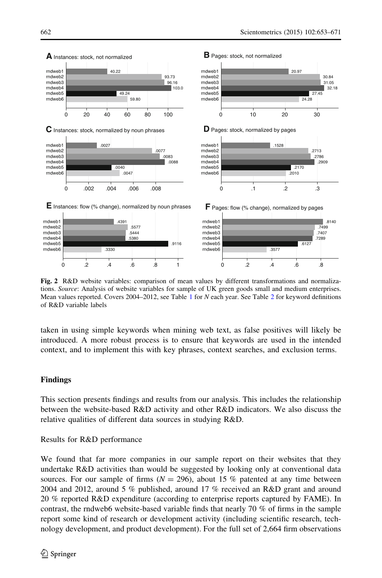<span id="page-9-0"></span>

Fig. 2 R&D website variables: comparison of mean values by different transformations and normalizations. Source: Analysis of website variables for sample of UK green goods small and medium enterprises. Mean values reported. Covers 2004–20[1](#page-7-0)[2](#page-8-0), see Table 1 for N each year. See Table 2 for keyword definitions of R&D variable labels

taken in using simple keywords when mining web text, as false positives will likely be introduced. A more robust process is to ensure that keywords are used in the intended context, and to implement this with key phrases, context searches, and exclusion terms.

#### Findings

This section presents findings and results from our analysis. This includes the relationship between the website-based R&D activity and other R&D indicators. We also discuss the relative qualities of different data sources in studying R&D.

## Results for R&D performance

We found that far more companies in our sample report on their websites that they undertake R&D activities than would be suggested by looking only at conventional data sources. For our sample of firms ( $N = 296$ ), about 15 % patented at any time between 2004 and 2012, around 5 % published, around 17 % received an R&D grant and around 20 % reported R&D expenditure (according to enterprise reports captured by FAME). In contrast, the rndweb6 website-based variable finds that nearly 70 % of firms in the sample report some kind of research or development activity (including scientific research, technology development, and product development). For the full set of 2,664 firm observations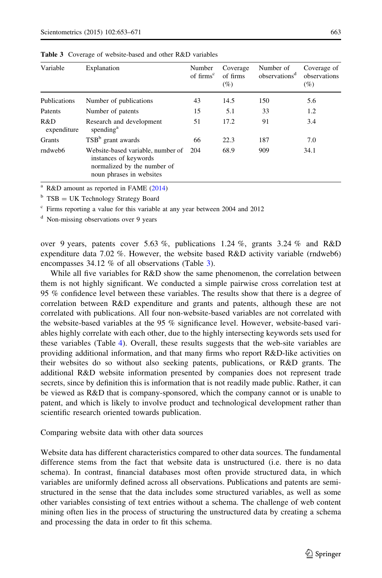| Variable           | Explanation                                                                                                           | Number<br>of firms <sup>c</sup> | Coverage<br>of firms<br>$(\%)$ | Number of<br>observations <sup>d</sup> | Coverage of<br>observations<br>(%) |
|--------------------|-----------------------------------------------------------------------------------------------------------------------|---------------------------------|--------------------------------|----------------------------------------|------------------------------------|
| Publications       | Number of publications                                                                                                | 43                              | 14.5                           | 150                                    | 5.6                                |
| Patents            | Number of patents                                                                                                     | 15                              | 5.1                            | 33                                     | 1.2                                |
| R&D<br>expenditure | Research and development<br>spending <sup>a</sup>                                                                     | 51                              | 17.2                           | 91                                     | 3.4                                |
| Grants             | TSB <sup>b</sup> grant awards                                                                                         | 66                              | 22.3                           | 187                                    | 7.0                                |
| rndweb6            | Website-based variable, number of<br>instances of keywords<br>normalized by the number of<br>noun phrases in websites | 204                             | 68.9                           | 909                                    | 34.1                               |

Table 3 Coverage of website-based and other R&D variables

 $a$  R&D amount as reported in FAME ([2014](#page-17-0))

 $b$  TSB = UK Technology Strategy Board

 $\degree$  Firms reporting a value for this variable at any year between 2004 and 2012

<sup>d</sup> Non-missing observations over 9 years

over 9 years, patents cover 5.63 %, publications 1.24 %, grants 3.24 % and R&D expenditure data 7.02 %. However, the website based R&D activity variable (rndweb6) encompasses 34.12 % of all observations (Table 3).

While all five variables for R&D show the same phenomenon, the correlation between them is not highly significant. We conducted a simple pairwise cross correlation test at 95 % confidence level between these variables. The results show that there is a degree of correlation between R&D expenditure and grants and patents, although these are not correlated with publications. All four non-website-based variables are not correlated with the website-based variables at the 95 % significance level. However, website-based variables highly correlate with each other, due to the highly intersecting keywords sets used for these variables (Table [4](#page-12-0)). Overall, these results suggests that the web-site variables are providing additional information, and that many firms who report R&D-like activities on their websites do so without also seeking patents, publications, or R&D grants. The additional R&D website information presented by companies does not represent trade secrets, since by definition this is information that is not readily made public. Rather, it can be viewed as R&D that is company-sponsored, which the company cannot or is unable to patent, and which is likely to involve product and technological development rather than scientific research oriented towards publication.

Comparing website data with other data sources

Website data has different characteristics compared to other data sources. The fundamental difference stems from the fact that website data is unstructured (i.e. there is no data schema). In contrast, financial databases most often provide structured data, in which variables are uniformly defined across all observations. Publications and patents are semistructured in the sense that the data includes some structured variables, as well as some other variables consisting of text entries without a schema. The challenge of web content mining often lies in the process of structuring the unstructured data by creating a schema and processing the data in order to fit this schema.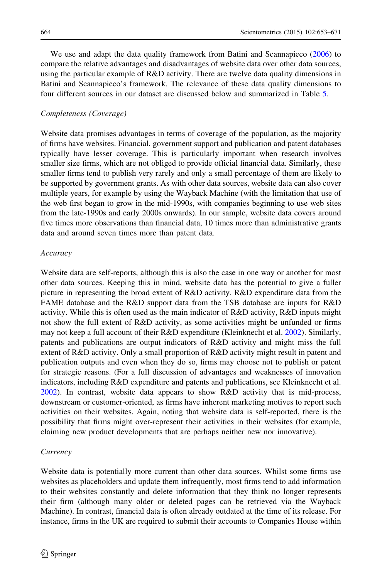We use and adapt the data quality framework from Batini and Scannapieco ([2006\)](#page-17-0) to compare the relative advantages and disadvantages of website data over other data sources, using the particular example of R&D activity. There are twelve data quality dimensions in Batini and Scannapieco's framework. The relevance of these data quality dimensions to four different sources in our dataset are discussed below and summarized in Table [5.](#page-14-0)

# Completeness (Coverage)

Website data promises advantages in terms of coverage of the population, as the majority of firms have websites. Financial, government support and publication and patent databases typically have lesser coverage. This is particularly important when research involves smaller size firms, which are not obliged to provide official financial data. Similarly, these smaller firms tend to publish very rarely and only a small percentage of them are likely to be supported by government grants. As with other data sources, website data can also cover multiple years, for example by using the Wayback Machine (with the limitation that use of the web first began to grow in the mid-1990s, with companies beginning to use web sites from the late-1990s and early 2000s onwards). In our sample, website data covers around five times more observations than financial data, 10 times more than administrative grants data and around seven times more than patent data.

#### Accuracy

Website data are self-reports, although this is also the case in one way or another for most other data sources. Keeping this in mind, website data has the potential to give a fuller picture in representing the broad extent of R&D activity. R&D expenditure data from the FAME database and the R&D support data from the TSB database are inputs for R&D activity. While this is often used as the main indicator of  $R&D$  activity,  $R&D$  inputs might not show the full extent of R&D activity, as some activities might be unfunded or firms may not keep a full account of their R&D expenditure (Kleinknecht et al. [2002\)](#page-17-0). Similarly, patents and publications are output indicators of R&D activity and might miss the full extent of R&D activity. Only a small proportion of R&D activity might result in patent and publication outputs and even when they do so, firms may choose not to publish or patent for strategic reasons. (For a full discussion of advantages and weaknesses of innovation indicators, including R&D expenditure and patents and publications, see Kleinknecht et al. [2002\)](#page-17-0). In contrast, website data appears to show R&D activity that is mid-process, downstream or customer-oriented, as firms have inherent marketing motives to report such activities on their websites. Again, noting that website data is self-reported, there is the possibility that firms might over-represent their activities in their websites (for example, claiming new product developments that are perhaps neither new nor innovative).

## **Currency**

Website data is potentially more current than other data sources. Whilst some firms use websites as placeholders and update them infrequently, most firms tend to add information to their websites constantly and delete information that they think no longer represents their firm (although many older or deleted pages can be retrieved via the Wayback Machine). In contrast, financial data is often already outdated at the time of its release. For instance, firms in the UK are required to submit their accounts to Companies House within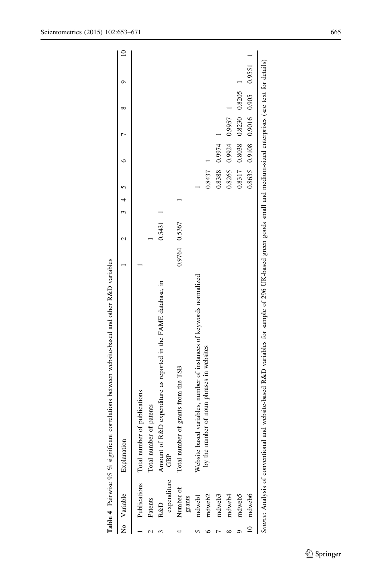<span id="page-12-0"></span>

|               | No Variable         | Explanation                                                           |               | $3 \t 4 \t 5$ |        | $\circ$                     | ∝ |                                     | $\approx$ |
|---------------|---------------------|-----------------------------------------------------------------------|---------------|---------------|--------|-----------------------------|---|-------------------------------------|-----------|
|               |                     | Publications Total number of publications                             |               |               |        |                             |   |                                     |           |
|               | Patents             | Total number of patents                                               |               |               |        |                             |   |                                     |           |
|               | expenditure<br>R&D  | Amount of R&D expenditure as reported in the FAME database, in<br>GBP | 0.5431        |               |        |                             |   |                                     |           |
|               | Number of<br>grants | Total number of grants from the TSB                                   | 0.9764 0.5367 |               |        |                             |   |                                     |           |
|               | mdweb1              | Website based variables, number of instances of keywords normalized   |               |               |        |                             |   |                                     |           |
|               | mdweb2              | by the number of noun phrases in websites                             |               |               | 0.8437 |                             |   |                                     |           |
|               | mdweb3              |                                                                       |               |               |        | 0.8388 0.9974               |   |                                     |           |
|               | mdweb4              |                                                                       |               |               |        | 0.8265 0.9924 0.9957        |   |                                     |           |
|               | mdweb5              |                                                                       |               |               |        | 0.8317 0.8038 0.8230 0.8205 |   |                                     |           |
| $\frac{1}{2}$ | mdweb6              |                                                                       |               |               |        |                             |   | 0.8635 0.9108 0.9016 0.905 0.9551 1 |           |

Table 4 Pairwise 95 % significant correlations between website-based and other R&D variables Table 4 Pairwise 95 % significant correlations between website-based and other R&D variables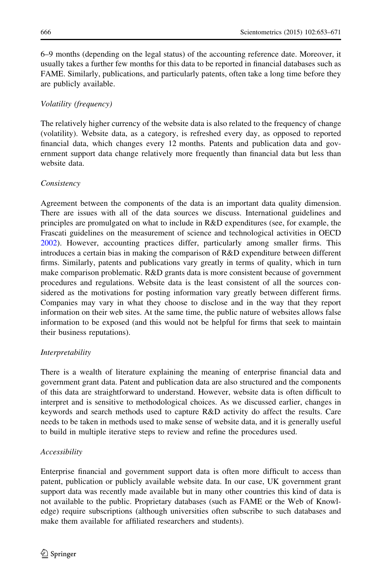6–9 months (depending on the legal status) of the accounting reference date. Moreover, it usually takes a further few months for this data to be reported in financial databases such as FAME. Similarly, publications, and particularly patents, often take a long time before they are publicly available.

# Volatility (frequency)

The relatively higher currency of the website data is also related to the frequency of change (volatility). Website data, as a category, is refreshed every day, as opposed to reported financial data, which changes every 12 months. Patents and publication data and government support data change relatively more frequently than financial data but less than website data.

# Consistency

Agreement between the components of the data is an important data quality dimension. There are issues with all of the data sources we discuss. International guidelines and principles are promulgated on what to include in R&D expenditures (see, for example, the Frascati guidelines on the measurement of science and technological activities in OECD [2002\)](#page-17-0). However, accounting practices differ, particularly among smaller firms. This introduces a certain bias in making the comparison of R&D expenditure between different firms. Similarly, patents and publications vary greatly in terms of quality, which in turn make comparison problematic. R&D grants data is more consistent because of government procedures and regulations. Website data is the least consistent of all the sources considered as the motivations for posting information vary greatly between different firms. Companies may vary in what they choose to disclose and in the way that they report information on their web sites. At the same time, the public nature of websites allows false information to be exposed (and this would not be helpful for firms that seek to maintain their business reputations).

# Interpretability

There is a wealth of literature explaining the meaning of enterprise financial data and government grant data. Patent and publication data are also structured and the components of this data are straightforward to understand. However, website data is often difficult to interpret and is sensitive to methodological choices. As we discussed earlier, changes in keywords and search methods used to capture R&D activity do affect the results. Care needs to be taken in methods used to make sense of website data, and it is generally useful to build in multiple iterative steps to review and refine the procedures used.

# Accessibility

Enterprise financial and government support data is often more difficult to access than patent, publication or publicly available website data. In our case, UK government grant support data was recently made available but in many other countries this kind of data is not available to the public. Proprietary databases (such as FAME or the Web of Knowledge) require subscriptions (although universities often subscribe to such databases and make them available for affiliated researchers and students).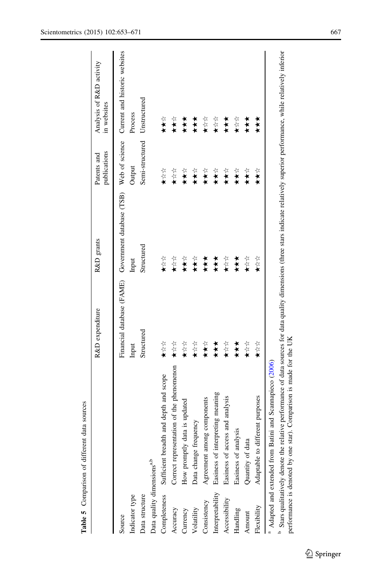|                                        |                                                                                                                                                                                                                                                                                                                                             | R&D expenditure | R&D grants                                                                                       | publications<br>Patents and | Analysis of R&D activity<br>in websites |
|----------------------------------------|---------------------------------------------------------------------------------------------------------------------------------------------------------------------------------------------------------------------------------------------------------------------------------------------------------------------------------------------|-----------------|--------------------------------------------------------------------------------------------------|-----------------------------|-----------------------------------------|
| Source                                 |                                                                                                                                                                                                                                                                                                                                             |                 | Financial database (FAME) Government database (TSB) Web of science Current and historic websites |                             |                                         |
| Indicator type                         |                                                                                                                                                                                                                                                                                                                                             | Input           | Input                                                                                            | Output                      | Process                                 |
| Data structure                         |                                                                                                                                                                                                                                                                                                                                             | Structured      | Structured                                                                                       | Semi-structured             | Unstructured                            |
| Data quality dimensions <sup>a,b</sup> |                                                                                                                                                                                                                                                                                                                                             |                 |                                                                                                  |                             |                                         |
| Completeness                           | and depth and scope<br>Sufficient breadth                                                                                                                                                                                                                                                                                                   | ☆☆★             | ☆☆★                                                                                              | ☆☆★                         | ☆★★                                     |
| Accuracy                               | Correct representation of the phenomenon                                                                                                                                                                                                                                                                                                    | ☆☆★             | ☆☆★                                                                                              | ☆☆★                         | ☆★★                                     |
| Currency                               | How promptly data is updated                                                                                                                                                                                                                                                                                                                | ☆☆★             | ☆★★                                                                                              | ☆★★                         | $\star\star$                            |
| Volatility                             | Data change frequency                                                                                                                                                                                                                                                                                                                       | ☆☆☆★            | ☆★★                                                                                              | ☆★★                         | $*$                                     |
| Consistency                            | Agreement among components                                                                                                                                                                                                                                                                                                                  | ★★☆             | ***                                                                                              | ☆★★                         | ☆☆★                                     |
|                                        | Interpretability Easiness of interpreting meaning                                                                                                                                                                                                                                                                                           | $**$            |                                                                                                  | ☆★★                         | ☆☆★                                     |
| Accessibility                          | Easiness of access and analysis                                                                                                                                                                                                                                                                                                             | ☆☆★             | ★☆☆                                                                                              | ☆★★                         | ***                                     |
| Handling                               | Easiness of analysis                                                                                                                                                                                                                                                                                                                        | $***$           | $***$                                                                                            | ☆★★                         | ☆☆☆★                                    |
| Amount                                 | Quantity of data                                                                                                                                                                                                                                                                                                                            | ☆☆★             | ☆☆★                                                                                              | ☆★★                         | ***                                     |
| Flexibility                            | Adaptable to different purposes                                                                                                                                                                                                                                                                                                             | ☆☆★             | ☆☆★                                                                                              | ☆★★                         | ***                                     |
|                                        | <sup>h</sup> Stars qualitatively denote the relative performance of data sources for data quality dimensions (three stars indicate relatively superior performance, while relatively inferior<br>performance is denoted by one star). Comparison is made for the UK<br><sup>a</sup> Adapted and extended from Batini and Scannapieco (2006) |                 |                                                                                                  |                             |                                         |
|                                        |                                                                                                                                                                                                                                                                                                                                             |                 |                                                                                                  |                             |                                         |

<span id="page-14-0"></span>Scientometrics (2015) 102:653–671 667

Table 5 Comparison of different data sources

Table 5 Comparison of different data sources

 $\underline{\textcircled{\tiny 2}}$  Springer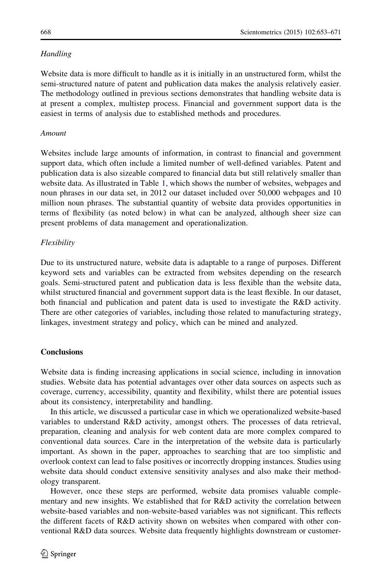# Handling

Website data is more difficult to handle as it is initially in an unstructured form, whilst the semi-structured nature of patent and publication data makes the analysis relatively easier. The methodology outlined in previous sections demonstrates that handling website data is at present a complex, multistep process. Financial and government support data is the easiest in terms of analysis due to established methods and procedures.

## Amount

Websites include large amounts of information, in contrast to financial and government support data, which often include a limited number of well-defined variables. Patent and publication data is also sizeable compared to financial data but still relatively smaller than website data. As illustrated in Table [1,](#page-7-0) which shows the number of websites, webpages and noun phrases in our data set, in 2012 our dataset included over 50,000 webpages and 10 million noun phrases. The substantial quantity of website data provides opportunities in terms of flexibility (as noted below) in what can be analyzed, although sheer size can present problems of data management and operationalization.

# Flexibility

Due to its unstructured nature, website data is adaptable to a range of purposes. Different keyword sets and variables can be extracted from websites depending on the research goals. Semi-structured patent and publication data is less flexible than the website data, whilst structured financial and government support data is the least flexible. In our dataset, both financial and publication and patent data is used to investigate the R&D activity. There are other categories of variables, including those related to manufacturing strategy, linkages, investment strategy and policy, which can be mined and analyzed.

## **Conclusions**

Website data is finding increasing applications in social science, including in innovation studies. Website data has potential advantages over other data sources on aspects such as coverage, currency, accessibility, quantity and flexibility, whilst there are potential issues about its consistency, interpretability and handling.

In this article, we discussed a particular case in which we operationalized website-based variables to understand R&D activity, amongst others. The processes of data retrieval, preparation, cleaning and analysis for web content data are more complex compared to conventional data sources. Care in the interpretation of the website data is particularly important. As shown in the paper, approaches to searching that are too simplistic and overlook context can lead to false positives or incorrectly dropping instances. Studies using website data should conduct extensive sensitivity analyses and also make their methodology transparent.

However, once these steps are performed, website data promises valuable complementary and new insights. We established that for R&D activity the correlation between website-based variables and non-website-based variables was not significant. This reflects the different facets of R&D activity shown on websites when compared with other conventional R&D data sources. Website data frequently highlights downstream or customer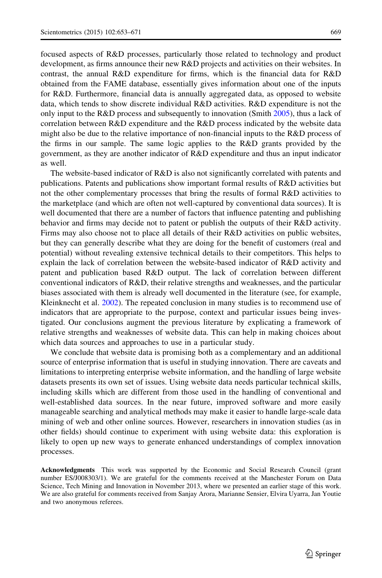focused aspects of R&D processes, particularly those related to technology and product development, as firms announce their new R&D projects and activities on their websites. In contrast, the annual R&D expenditure for firms, which is the financial data for R&D obtained from the FAME database, essentially gives information about one of the inputs for R&D. Furthermore, financial data is annually aggregated data, as opposed to website data, which tends to show discrete individual R&D activities. R&D expenditure is not the only input to the R&D process and subsequently to innovation (Smith [2005\)](#page-17-0), thus a lack of correlation between R&D expenditure and the R&D process indicated by the website data might also be due to the relative importance of non-financial inputs to the R&D process of the firms in our sample. The same logic applies to the R&D grants provided by the government, as they are another indicator of R&D expenditure and thus an input indicator as well.

The website-based indicator of R&D is also not significantly correlated with patents and publications. Patents and publications show important formal results of R&D activities but not the other complementary processes that bring the results of formal R&D activities to the marketplace (and which are often not well-captured by conventional data sources). It is well documented that there are a number of factors that influence patenting and publishing behavior and firms may decide not to patent or publish the outputs of their R&D activity. Firms may also choose not to place all details of their R&D activities on public websites, but they can generally describe what they are doing for the benefit of customers (real and potential) without revealing extensive technical details to their competitors. This helps to explain the lack of correlation between the website-based indicator of R&D activity and patent and publication based R&D output. The lack of correlation between different conventional indicators of R&D, their relative strengths and weaknesses, and the particular biases associated with them is already well documented in the literature (see, for example, Kleinknecht et al. [2002](#page-17-0)). The repeated conclusion in many studies is to recommend use of indicators that are appropriate to the purpose, context and particular issues being investigated. Our conclusions augment the previous literature by explicating a framework of relative strengths and weaknesses of website data. This can help in making choices about which data sources and approaches to use in a particular study.

We conclude that website data is promising both as a complementary and an additional source of enterprise information that is useful in studying innovation. There are caveats and limitations to interpreting enterprise website information, and the handling of large website datasets presents its own set of issues. Using website data needs particular technical skills, including skills which are different from those used in the handling of conventional and well-established data sources. In the near future, improved software and more easily manageable searching and analytical methods may make it easier to handle large-scale data mining of web and other online sources. However, researchers in innovation studies (as in other fields) should continue to experiment with using website data: this exploration is likely to open up new ways to generate enhanced understandings of complex innovation processes.

Acknowledgments This work was supported by the Economic and Social Research Council (grant number ES/J008303/1). We are grateful for the comments received at the Manchester Forum on Data Science, Tech Mining and Innovation in November 2013, where we presented an earlier stage of this work. We are also grateful for comments received from Sanjay Arora, Marianne Sensier, Elvira Uyarra, Jan Youtie and two anonymous referees.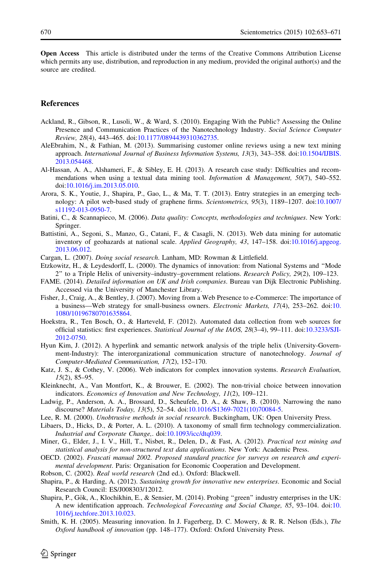<span id="page-17-0"></span>Open Access This article is distributed under the terms of the Creative Commons Attribution License which permits any use, distribution, and reproduction in any medium, provided the original author(s) and the source are credited.

## **References**

- Ackland, R., Gibson, R., Lusoli, W., & Ward, S. (2010). Engaging With the Public? Assessing the Online Presence and Communication Practices of the Nanotechnology Industry. Social Science Computer Review, 28(4), 443–465. doi[:10.1177/0894439310362735.](http://dx.doi.org/10.1177/0894439310362735)
- AleEbrahim, N., & Fathian, M. (2013). Summarising customer online reviews using a new text mining approach. International Journal of Business Information Systems, 13(3), 343–358. doi:[10.1504/IJBIS.](http://dx.doi.org/10.1504/IJBIS.2013.054468) [2013.054468.](http://dx.doi.org/10.1504/IJBIS.2013.054468)
- Al-Hassan, A. A., Alshameri, F., & Sibley, E. H. (2013). A research case study: Difficulties and recommendations when using a textual data mining tool. Information & Management, 50(7), 540–552. doi[:10.1016/j.im.2013.05.010.](http://dx.doi.org/10.1016/j.im.2013.05.010)
- Arora, S. K., Youtie, J., Shapira, P., Gao, L., & Ma, T. T. (2013). Entry strategies in an emerging technology: A pilot web-based study of graphene firms. Scientometrics, 95(3), 1189–1207. doi:[10.1007/](http://dx.doi.org/10.1007/s11192-013-0950-7) [s11192-013-0950-7](http://dx.doi.org/10.1007/s11192-013-0950-7).
- Batini, C., & Scannapieco, M. (2006). Data quality: Concepts, methodologies and techniques. New York: Springer.
- Battistini, A., Segoni, S., Manzo, G., Catani, F., & Casagli, N. (2013). Web data mining for automatic inventory of geohazards at national scale. Applied Geography, 43, 147–158. doi[:10.1016/j.apgeog.](http://dx.doi.org/10.1016/j.apgeog.2013.06.012) [2013.06.012.](http://dx.doi.org/10.1016/j.apgeog.2013.06.012)
- Cargan, L. (2007). Doing social research. Lanham, MD: Rowman & Littlefield.
- Etzkowitz, H., & Leydesdorff, L. (2000). The dynamics of innovation: from National Systems and ''Mode 2'' to a Triple Helix of university–industry–government relations. Research Policy, 29(2), 109–123.
- FAME. (2014). Detailed information on UK and Irish companies. Bureau van Dijk Electronic Publishing. Accessed via the University of Manchester Library.
- Fisher, J., Craig, A., & Bentley, J. (2007). Moving from a Web Presence to e-Commerce: The importance of a business—Web strategy for small-business owners. Electronic Markets, 17(4), 253–262. doi:[10.](http://dx.doi.org/10.1080/10196780701635864) [1080/10196780701635864](http://dx.doi.org/10.1080/10196780701635864).
- Hoekstra, R., Ten Bosch, O., & Harteveld, F. (2012). Automated data collection from web sources for official statistics: first experiences. Statistical Journal of the IAOS, 28(3–4), 99–111. doi:[10.3233/SJI-](http://dx.doi.org/10.3233/SJI-2012-0750)[2012-0750](http://dx.doi.org/10.3233/SJI-2012-0750).
- Hyun Kim, J. (2012). A hyperlink and semantic network analysis of the triple helix (University-Government-Industry): The interorganizational communication structure of nanotechnology. Journal of Computer-Mediated Communication, 17(2), 152–170.
- Katz, J. S., & Cothey, V. (2006). Web indicators for complex innovation systems. Research Evaluation, 15(2), 85–95.
- Kleinknecht, A., Van Montfort, K., & Brouwer, E. (2002). The non-trivial choice between innovation indicators. Economics of Innovation and New Technology, 11(2), 109–121.
- Ladwig, P., Anderson, A. A., Brossard, D., Scheufele, D. A., & Shaw, B. (2010). Narrowing the nano discourse? Materials Today, 13(5), 52–54. doi:[10.1016/S1369-7021\(10\)70084-5.](http://dx.doi.org/10.1016/S1369-7021(10)70084-5)
- Lee, R. M. (2000). Unobtrusive methods in social research. Buckingham, UK: Open University Press.
- Libaers, D., Hicks, D., & Porter, A. L. (2010). A taxonomy of small firm technology commercialization. Industrial and Corporate Change,. doi:[10.1093/icc/dtq039.](http://dx.doi.org/10.1093/icc/dtq039)
- Miner, G., Elder, J., I. V., Hill, T., Nisbet, R., Delen, D., & Fast, A. (2012). Practical text mining and statistical analysis for non-structured text data applications. New York: Academic Press.
- OECD. (2002). Frascati manual 2002. Proposed standard practice for surveys on research and experimental development. Paris: Organisation for Economic Cooperation and Development.
- Robson, C. (2002). Real world research (2nd ed.). Oxford: Blackwell.
- Shapira, P., & Harding, A. (2012). Sustaining growth for innovative new enterprises. Economic and Social Research Council: ES/J008303/12012.
- Shapira, P., Gök, A., Klochikhin, E., & Sensier, M. (2014). Probing "green" industry enterprises in the UK: A new identification approach. Technological Forecasting and Social Change, 85, 93–104. doi:[10.](http://dx.doi.org/10.1016/j.techfore.2013.10.023) [1016/j.techfore.2013.10.023](http://dx.doi.org/10.1016/j.techfore.2013.10.023).
- Smith, K. H. (2005). Measuring innovation. In J. Fagerberg, D. C. Mowery, & R. R. Nelson (Eds.), The Oxford handbook of innovation (pp. 148–177). Oxford: Oxford University Press.